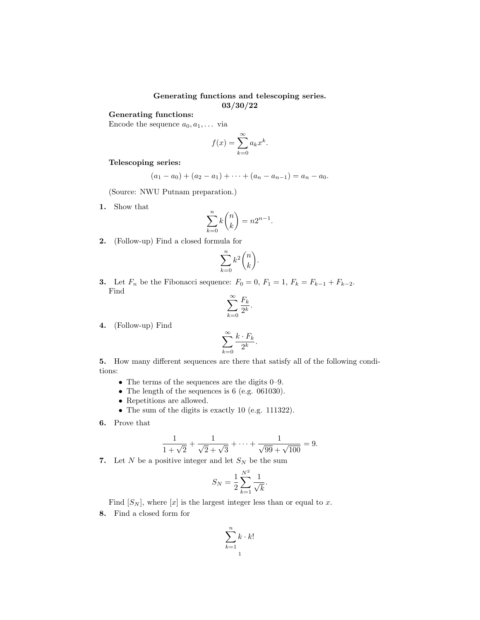## Generating functions and telescoping series. 03/30/22

## Generating functions:

Encode the sequence  $a_0, a_1, \ldots$  via

$$
f(x) = \sum_{k=0}^{\infty} a_k x^k.
$$

## Telescoping series:

$$
(a_1 - a_0) + (a_2 - a_1) + \cdots + (a_n - a_{n-1}) = a_n - a_0.
$$

(Source: NWU Putnam preparation.)

1. Show that

$$
\sum_{k=0}^{n} k \binom{n}{k} = n2^{n-1}.
$$

2. (Follow-up) Find a closed formula for

$$
\sum_{k=0}^n k^2 \binom{n}{k}.
$$

**3.** Let  $F_n$  be the Fibonacci sequence:  $F_0 = 0$ ,  $F_1 = 1$ ,  $F_k = F_{k-1} + F_{k-2}$ . Find

$$
\sum_{k=0}^{\infty} \frac{F_k}{2^k}.
$$

4. (Follow-up) Find

$$
\sum_{k=0}^{\infty} \frac{k \cdot F_k}{2^k}.
$$

5. How many different sequences are there that satisfy all of the following conditions:

- The terms of the sequences are the digits 0–9.
- The length of the sequences is 6 (e.g. 061030).
- Repetitions are allowed.
- The sum of the digits is exactly 10 (e.g. 111322).
- 6. Prove that

$$
\frac{1}{1+\sqrt{2}} + \frac{1}{\sqrt{2}+\sqrt{3}} + \dots + \frac{1}{\sqrt{99}+\sqrt{100}} = 9.
$$

7. Let  $N$  be a positive integer and let  $S_N$  be the sum

$$
S_N = \frac{1}{2} \sum_{k=1}^{N^2} \frac{1}{\sqrt{k}}.
$$

Find  $[S_N]$ , where  $[x]$  is the largest integer less than or equal to x.

8. Find a closed form for

$$
\sum_{k=1}^{n} k \cdot k!
$$